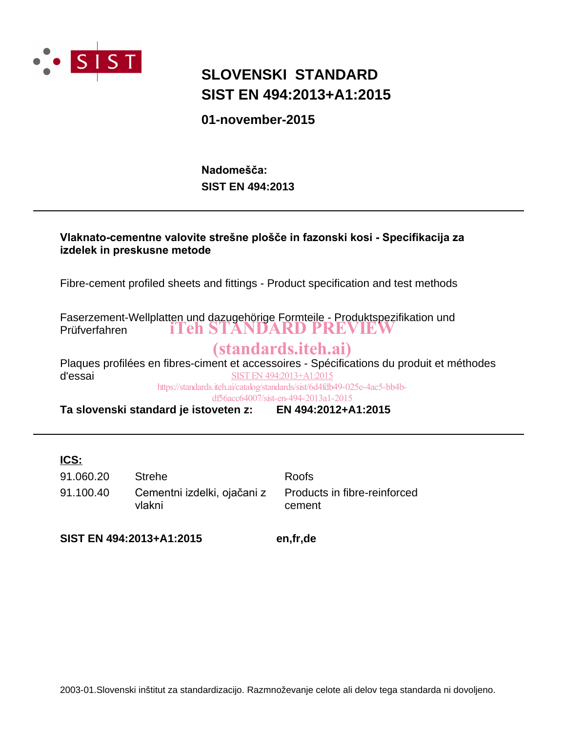

# **SIST EN 494:2013+A1:2015 SLOVENSKI STANDARD**

**01-november-2015**

**SIST EN 494:2013** Nadomešča:

# Vlaknato-cementne valovite strešne plošče in fazonski kosi - Specifikacija za **izdelek in preskusne metode**

Fibre-cement profiled sheets and fittings - Product specification and test methods

Faserzement-Wellplatten und dazugehörige Formteile - Produktspezifikation und Prüfverfahren iTeh STANDARD PREVIEW

# (standards.iteh.ai)

Plaques profilées en fibres-ciment et accessoires - Spécifications du produit et méthodes d'essai SIST EN 494:2013+A1:2015 https://standards.iteh.ai/catalog/standards/sist/6d4fdb49-025e-4ac5-bb4b-

df56acc64007/sist-en-494-2013a1-2015

**Ta slovenski standard je istoveten z: EN 494:2012+A1:2015**

# **ICS:**

91.100.40 Cementni izdelki, ojačani z vlakni 91.060.20 Strehe Roofs

Products in fibre-reinforced cement

**SIST EN 494:2013+A1:2015 en,fr,de**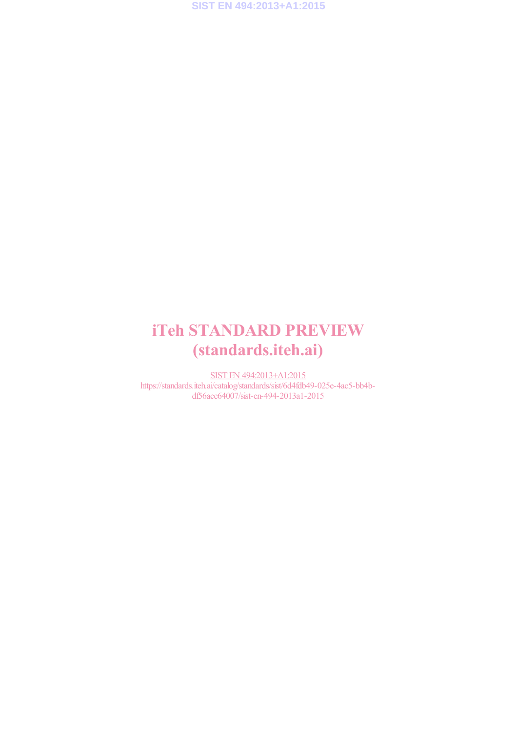# iTeh STANDARD PREVIEW (standards.iteh.ai)

SIST EN 494:2013+A1:2015 https://standards.iteh.ai/catalog/standards/sist/6d4fdb49-025e-4ac5-bb4bdf56acc64007/sist-en-494-2013a1-2015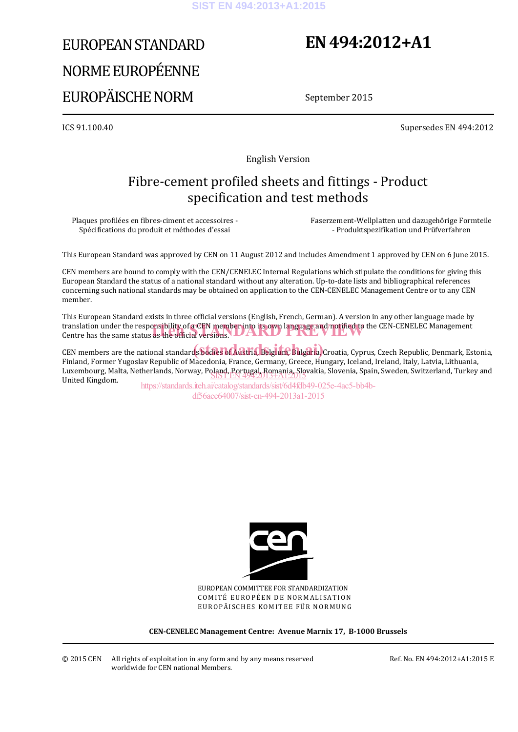# EUROPEAN STANDARD NORME EUROPÉENNE EUROPÄISCHE NORM

# **EN 494:2012+A1**

September 2015

ICS 91.100.40 Supersedes EN 494:2012

English Version

# Fibre-cement profiled sheets and fittings - Product specification and test methods

Plaques profilées en fibres-ciment et accessoires - Spécifications du produit et méthodes d'essai

 Faserzement-Wellplatten und dazugehörige Formteile - Produktspezifikation und Prüfverfahren

This European Standard was approved by CEN on 11 August 2012 and includes Amendment 1 approved by CEN on 6 June 2015.

CEN members are bound to comply with the CEN/CENELEC Internal Regulations which stipulate the conditions for giving this European Standard the status of a national standard without any alteration. Up-to-date lists and bibliographical references concerning such national standards may be obtained on application to the CEN-CENELEC Management Centre or to any CEN member.

This European Standard exists in three official versions (English, French, German). A version in any other language made by translation under the responsibility of a CEN member into its own language and notified to the CEN-CENELEC Management<br>Centre has the same status as the official versions. Centre has the same status as the official versions. **UARD** 

CEN members are the national standards bodies of Austria, Belgium, Bulgaria, Croatia, Cyprus, Czech Republic, Denmark, Estonia, Finland, Former Yugoslav Republic of Macedonia, France, Germany, Greece, Hungary, Iceland, Ireland, Italy, Latvia, Lithuania, Luxembourg, Malta, Netherlands, Norway, Poland, Portugal, Romania, Slovakia, Slovenia, Spain, Sweden, Switzerland, Turkey and<br>United Kingdom United Kingdom.

https://standards.iteh.ai/catalog/standards/sist/6d4fdb49-025e-4ac5-bb4bdf56acc64007/sist-en-494-2013a1-2015



EUROPEAN COMMITTEE FOR STANDARDIZATION COMITÉ EUROPÉEN DE NORMALISATION EUROPÄISCHES KOMITEE FÜR NORMUNG

**CEN-CENELEC Management Centre: Avenue Marnix 17, B-1000 Brussels**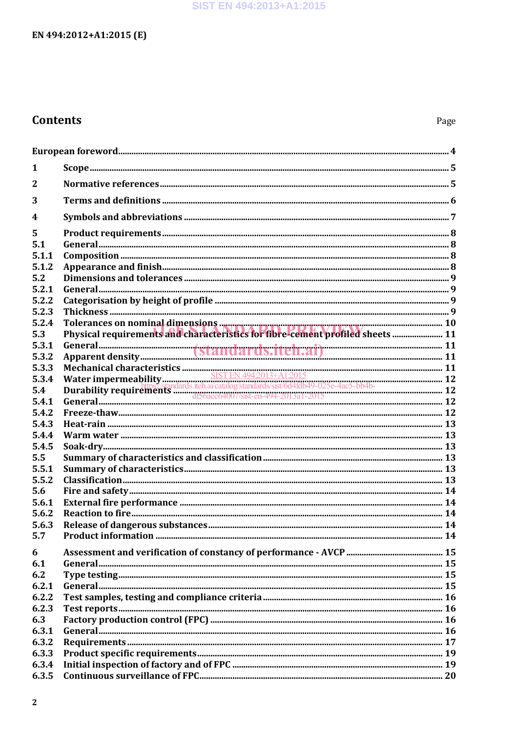## SIST EN 494:2013+A1:2015

# EN 494:2012+A1:2015 (E)

# **Contents**

| 1              |                                                                                                                           |  |
|----------------|---------------------------------------------------------------------------------------------------------------------------|--|
| $\mathbf{2}$   |                                                                                                                           |  |
| 3              |                                                                                                                           |  |
| 4              |                                                                                                                           |  |
| 5              |                                                                                                                           |  |
| 5.1            |                                                                                                                           |  |
| 5.1.1          |                                                                                                                           |  |
| 5.1.2          |                                                                                                                           |  |
| 5.2            |                                                                                                                           |  |
| 5.2.1          |                                                                                                                           |  |
| 5.2.2          |                                                                                                                           |  |
| 5.2.3          |                                                                                                                           |  |
| 5.2.4          | Tolerances on nominal dimensions <b>comparison-controlled to the control of the control of the control of the control</b> |  |
| 5.3            | Physical requirements and characteristics for fibre-cement profiled sheets  11                                            |  |
| 5.3.1<br>5.3.2 |                                                                                                                           |  |
| 5.3.3          |                                                                                                                           |  |
| 5.3.4          |                                                                                                                           |  |
| 5.4            |                                                                                                                           |  |
| 5.4.1          |                                                                                                                           |  |
| 5.4.2          |                                                                                                                           |  |
| 5.4.3          |                                                                                                                           |  |
| 5.4.4          |                                                                                                                           |  |
| 5.4.5          |                                                                                                                           |  |
| 5.5            |                                                                                                                           |  |
| 5.5.1          |                                                                                                                           |  |
| 5.5.2          |                                                                                                                           |  |
| 5.6            |                                                                                                                           |  |
| 5.6.1          |                                                                                                                           |  |
| 5.6.2          |                                                                                                                           |  |
| 5.6.3          |                                                                                                                           |  |
| 5.7            |                                                                                                                           |  |
| 6              |                                                                                                                           |  |
| 6.1            |                                                                                                                           |  |
| 6.2            |                                                                                                                           |  |
| 6.2.1          |                                                                                                                           |  |
| 6.2.2          |                                                                                                                           |  |
| 6.2.3          |                                                                                                                           |  |
| 6.3            |                                                                                                                           |  |
| 6.3.1          |                                                                                                                           |  |
| 6.3.2<br>6.3.3 |                                                                                                                           |  |
| 6.3.4          |                                                                                                                           |  |
| 6.3.5          |                                                                                                                           |  |
|                |                                                                                                                           |  |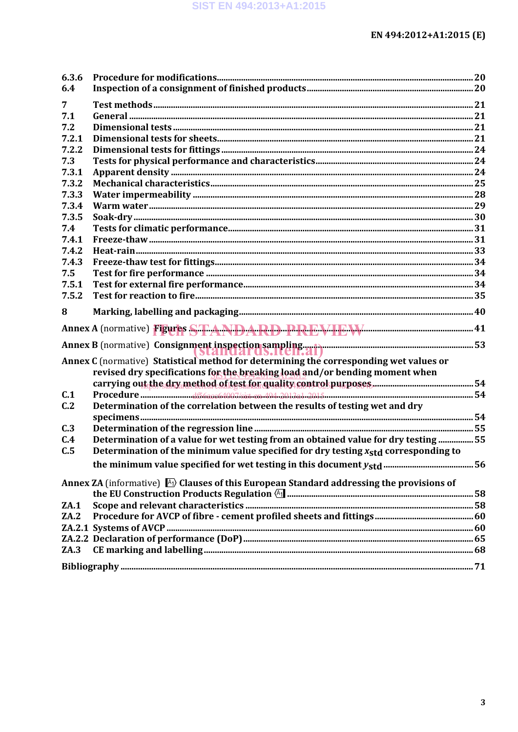| 6.3.6 |                                                                                                      |  |
|-------|------------------------------------------------------------------------------------------------------|--|
| 6.4   |                                                                                                      |  |
| 7     |                                                                                                      |  |
| 7.1   |                                                                                                      |  |
| 7.2   |                                                                                                      |  |
| 7.2.1 |                                                                                                      |  |
| 7.2.2 |                                                                                                      |  |
| 7.3   |                                                                                                      |  |
| 7.3.1 |                                                                                                      |  |
| 7.3.2 |                                                                                                      |  |
| 7.3.3 |                                                                                                      |  |
| 7.3.4 |                                                                                                      |  |
| 7.3.5 |                                                                                                      |  |
| 7.4   |                                                                                                      |  |
| 7.4.1 |                                                                                                      |  |
| 7.4.2 |                                                                                                      |  |
| 7.4.3 |                                                                                                      |  |
| 7.5   |                                                                                                      |  |
| 7.5.1 |                                                                                                      |  |
| 7.5.2 |                                                                                                      |  |
| 8     |                                                                                                      |  |
|       | Annex A (normative) Figures STTANDARD PREVIEW EXE                                                    |  |
|       |                                                                                                      |  |
|       | Annex C (normative) Statistical method for determining the corresponding wet values or               |  |
|       | revised dry specifications for the breaking load and/or bending moment when                          |  |
|       |                                                                                                      |  |
| C.1   |                                                                                                      |  |
| C.2   | Determination of the correlation between the results of testing wet and dry                          |  |
|       |                                                                                                      |  |
| C.3   |                                                                                                      |  |
| C.4   | Determination of a value for wet testing from an obtained value for dry testing 55                   |  |
| C.5   | Determination of the minimum value specified for dry testing $x_{std}$ corresponding to              |  |
|       |                                                                                                      |  |
|       |                                                                                                      |  |
|       | Annex ZA (informative) $\mathbb{A}$ ) Clauses of this European Standard addressing the provisions of |  |
|       |                                                                                                      |  |
| ZA.1  |                                                                                                      |  |
| ZA.2  |                                                                                                      |  |
|       |                                                                                                      |  |
|       |                                                                                                      |  |
| ZA.3  |                                                                                                      |  |
|       |                                                                                                      |  |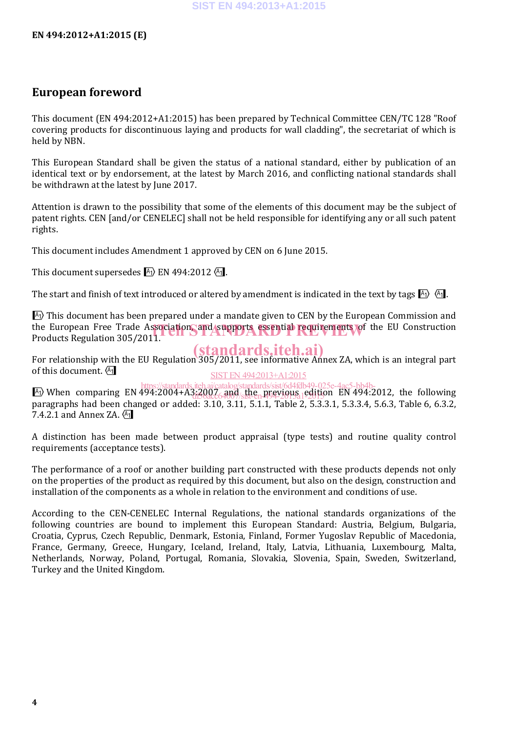# **European foreword**

This document (EN 494:2012+A1:2015) has been prepared by Technical Committee CEN/TC 128 "Roof covering products for discontinuous laying and products for wall cladding", the secretariat of which is held by NBN.

This European Standard shall be given the status of a national standard, either by publication of an identical text or by endorsement, at the latest by March 2016, and conflicting national standards shall be withdrawn at the latest by June 2017.

Attention is drawn to the possibility that some of the elements of this document may be the subject of patent rights. CEN [and/or CENELEC] shall not be held responsible for identifying any or all such patent rights.

This document includes Amendment 1 approved by CEN on 6 June 2015.

This document supersedes  $\overline{A_1}$  EN 494:2012 $\overline{A_1}$ .

The start and finish of text introduced or altered by amendment is indicated in the text by tags  $\mathbb{A}_1$ .

 $\overline{A_1}$ ) This document has been prepared under a mandate given to CEN by the European Commission and the European Free Trade Association, and supports essential requirements of the EU Construction<br>Products Regulation 305/2011 Products Regulation 305/2011.

For relationship with the EU Regulation 305/2011, see informative Annex ZA, which is an integral part of this document.  $\sqrt{41}$ (standards.iteh.ai) SIST EN 494:2013+A1:2015

 $\ket{A_1}$  When comparing EN 494:2004+A3:2007 and the previous edition EN 494:2012, the following  $\ket{A_1}$ paragraphs had been changed or added: 3.10, 3.11, 5.1.1, Table 2, 5.3.3.1, 5.3.3.4, 5.6.3, Table 6, 6.3.2, 7.4.2.1 and Annex ZA,  $\overline{A_1}$ di36acc64007/sist-en-094-2015a1-2015

A distinction has been made between product appraisal (type tests) and routine quality control requirements (acceptance tests).

The performance of a roof or another building part constructed with these products depends not only on the properties of the product as required by this document, but also on the design, construction and installation of the components as a whole in relation to the environment and conditions of use.

According to the CEN-CENELEC Internal Regulations, the national standards organizations of the following countries are bound to implement this European Standard: Austria, Belgium, Bulgaria, Croatia, Cyprus, Czech Republic, Denmark, Estonia, Finland, Former Yugoslav Republic of Macedonia, France, Germany, Greece, Hungary, Iceland, Ireland, Italy, Latvia, Lithuania, Luxembourg, Malta, Netherlands, Norway, Poland, Portugal, Romania, Slovakia, Slovenia, Spain, Sweden, Switzerland, Turkey and the United Kingdom.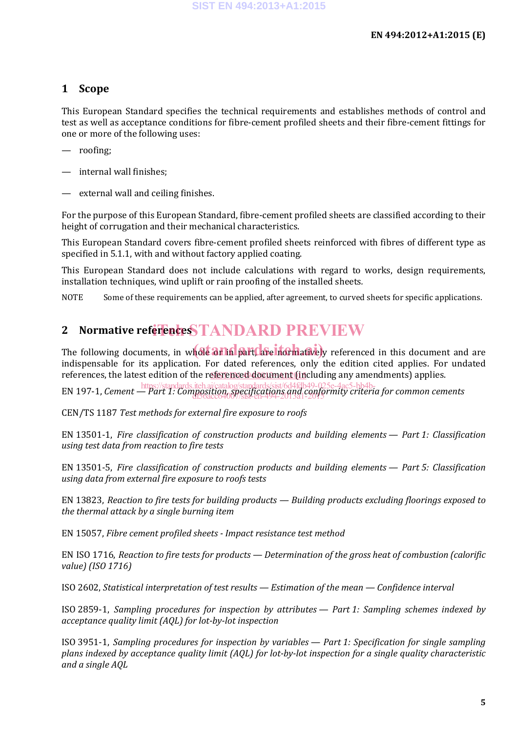# **1 Scope**

This European Standard specifies the technical requirements and establishes methods of control and test as well as acceptance conditions for fibre-cement profiled sheets and their fibre-cement fittings for one or more of the following uses:

- roofing;
- internal wall finishes;
- external wall and ceiling finishes.

For the purpose of this European Standard, fibre-cement profiled sheets are classified according to their height of corrugation and their mechanical characteristics.

This European Standard covers fibre-cement profiled sheets reinforced with fibres of different type as specified in 5.1.1, with and without factory applied coating.

This European Standard does not include calculations with regard to works, design requirements, installation techniques, wind uplift or rain proofing of the installed sheets*.*

NOTE Some of these requirements can be applied, after agreement, to curved sheets for specific applications.

# 2 Normative reference STANDARD PREVIEW

The following documents, in whole art in part, are increased in this document and are indispensable for its application. For dated references, only the edition cited applies. For undated references, the latest edition of the r<u>eferenced document (in</u>cluding any amendments) applies.

EN 197-1, *Cement — Part 1: Composition, specifications and conformity criteria for common cements* https://standards.iteh.ai/catalog/standards/sist/6d4fdb49-025e-4ac5-bb4bdf56acc64007/sist-en-494-2013a1-2015

CEN/TS 1187 *Test methods for external fire exposure to roofs*

EN 13501-1, *Fire classification of construction products and building elements — Part 1: Classification using test data from reaction to fire tests*

EN 13501-5, *Fire classification of construction products and building elements — Part 5: Classification using data from external fire exposure to roofs tests*

EN 13823, *Reaction to fire tests for building products — Building products excluding floorings exposed to the thermal attack by a single burning item*

EN 15057, *Fibre cement profiled sheets - Impact resistance test method*

EN ISO 1716, *Reaction to fire tests for products — Determination of the gross heat of combustion (calorific value) (ISO 1716)*

ISO 2602, *Statistical interpretation of test results — Estimation of the mean — Confidence interval*

ISO 2859-1, *Sampling procedures for inspection by attributes — Part 1: Sampling schemes indexed by acceptance quality limit (AQL) for lot-by-lot inspection*

ISO 3951-1, *Sampling procedures for inspection by variables — Part 1: Specification for single sampling plans indexed by acceptance quality limit (AQL) for lot-by-lot inspection for a single quality characteristic and a single AQL*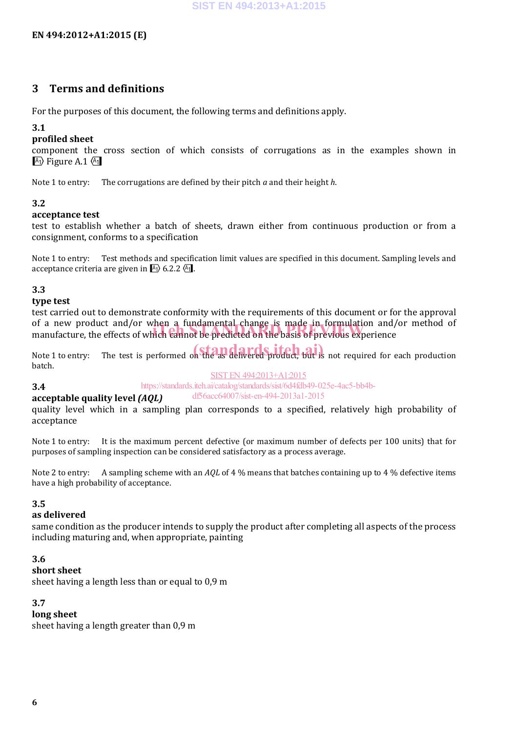# **3 Terms and definitions**

For the purposes of this document, the following terms and definitions apply.

#### **3.1**

#### **profiled sheet**

component the cross section of which consists of corrugations as in the examples shown in  $\overline{A_1}$  Figure A.1  $\overline{A_1}$ 

Note 1 to entry: The corrugations are defined by their pitch *a* and their height *h*.

#### **3.2**

#### **acceptance test**

test to establish whether a batch of sheets, drawn either from continuous production or from a consignment, conforms to a specification

Note 1 to entry: Test methods and specification limit values are specified in this document. Sampling levels and acceptance criteria are given in  $\overline{A_1}$  6.2.2  $\overline{A_1}$ .

#### **3.3**

**3.4**

#### **type test**

test carried out to demonstrate conformity with the requirements of this document or for the approval of a new product and/or when a fundamental change is made in formulation and/or method of of a new product and/or when a fundamental change is made in formulation and/<br>manufacture, the effects of which cannot be predicted on the basis of previous experience

Note 1 to entry: The test is performed on the as delivered product, but is not required for each production batch.

#### SIST EN 494:2013+A1:2015

#### https://standards.iteh.ai/catalog/standards/sist/6d4fdb49-025e-4ac5-bb4b-

#### **acceptable quality level** *(AQL)* df56acc64007/sist-en-494-2013a1-2015

quality level which in a sampling plan corresponds to a specified, relatively high probability of acceptance

Note 1 to entry: It is the maximum percent defective (or maximum number of defects per 100 units) that for purposes of sampling inspection can be considered satisfactory as a process average.

Note 2 to entry: A sampling scheme with an *AQL* of 4 % means that batches containing up to 4 % defective items have a high probability of acceptance.

#### **3.5**

#### **as delivered**

same condition as the producer intends to supply the product after completing all aspects of the process including maturing and, when appropriate, painting

#### **3.6**

## **short sheet**

sheet having a length less than or equal to 0,9 m

#### **3.7**

#### **long sheet**

sheet having a length greater than 0,9 m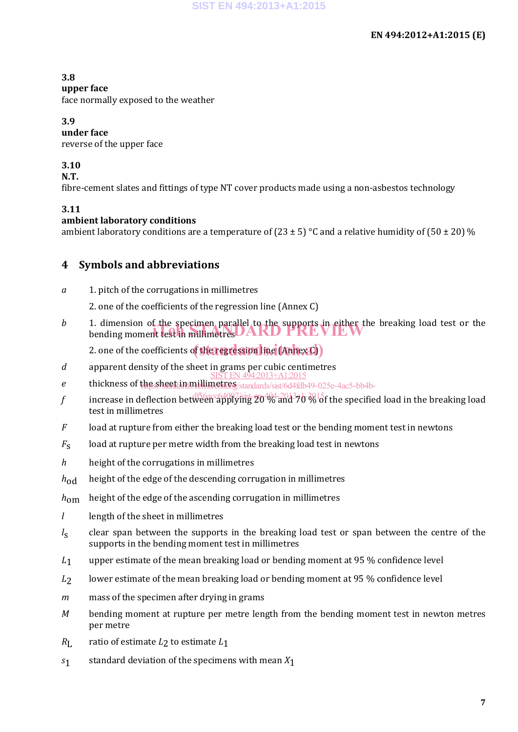## **3.8**

# **upper face**

face normally exposed to the weather

## **3.9**

**under face**

reverse of the upper face

# **3.10**

**N.T.**

fibre-cement slates and fittings of type NT cover products made using a non-asbestos technology

## **3.11**

## **ambient laboratory conditions**

ambient laboratory conditions are a temperature of (23  $\pm$  5) °C and a relative humidity of (50  $\pm$  20) %

# **4 Symbols and abbreviations**

*a* 1. pitch of the corrugations in millimetres

2. one of the coefficients of the regression line (Annex C)

*b* 1. dimension of the specimen parallel to the supports in either the breaking load test or the 1. dimension of the specimen parallel to the supports in either the<br>bending moment test in millimetres

2. one of the coefficients o<mark>f the regression line (Annex C)</mark> )

- *d* apparent density of the sheet in grams per cubic centimetres SIST EN 494:2013+A1:2015
- *e* thickness of the sheet in millimetres thessheet in multimetries standards/sist/6d4fdb49-025e-4ac5-bb4b-
- $f$  increase in deflection between applying 20% and 70<sup>13</sup>  $b$   $\delta b$  of the specified load in the breaking load test in millimetres
- *F* load at rupture from either the breaking load test or the bending moment test in newtons
- *<sup>F</sup>*<sup>s</sup> load at rupture per metre width from the breaking load test in newtons
- *h* height of the corrugations in millimetres
- *h*<sub>od</sub> height of the edge of the descending corrugation in millimetres
- *h*<sub>om</sub> height of the edge of the ascending corrugation in millimetres
- *l* length of the sheet in millimetres
- *l<sub>s</sub>* clear span between the supports in the breaking load test or span between the centre of the supports in the bending moment test in millimetres
- *<sup>L</sup>*<sup>1</sup> upper estimate of the mean breaking load or bending moment at 95 % confidence level
- *L*<sub>2</sub> lower estimate of the mean breaking load or bending moment at 95 % confidence level
- *m* mass of the specimen after drying in grams
- *M* bending moment at rupture per metre length from the bending moment test in newton metres per metre
- *R*<sub>L</sub> ratio of estimate  $L_2$  to estimate  $L_1$
- *<sup>s</sup>*<sup>1</sup> standard deviation of the specimens with mean *X*<sup>1</sup>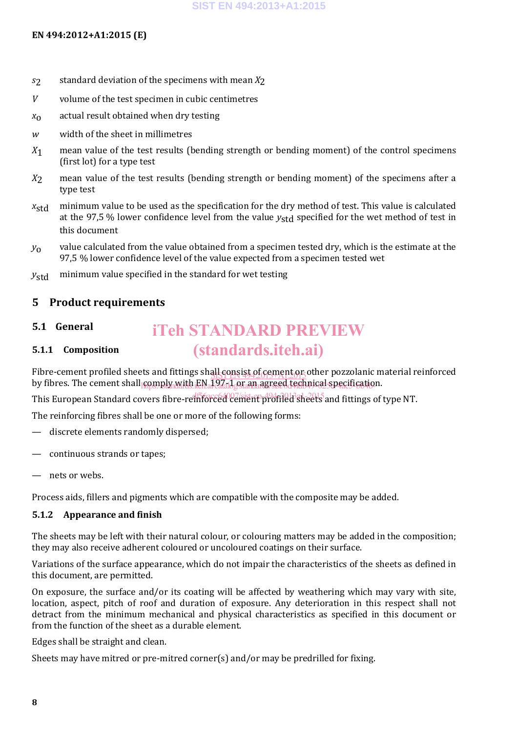#### **EN 494:2012+A1:2015 (E)**

- *<sup>s</sup>*<sup>2</sup> standard deviation of the specimens with mean *X*<sup>2</sup>
- *V* volume of the test specimen in cubic centimetres
- *<sup>x</sup>*<sup>o</sup> actual result obtained when dry testing
- *w* width of the sheet in millimetres
- *<sup>X</sup>*<sup>1</sup> mean value of the test results (bending strength or bending moment) of the control specimens (first lot) for a type test
- *<sup>X</sup>*<sup>2</sup> mean value of the test results (bending strength or bending moment) of the specimens after a type test
- *x*<sub>std</sub> minimum value to be used as the specification for the dry method of test. This value is calculated at the 97,5 % lower confidence level from the value *y*<sub>std</sub> specified for the wet method of test in this document
- *<sup>y</sup>*<sup>o</sup> value calculated from the value obtained from a specimen tested dry, which is the estimate at the 97,5 % lower confidence level of the value expected from a specimen tested wet
- y<sub>std</sub> minimum value specified in the standard for wet testing

# **5 Product requirements**

#### **5.1 General**

# **5.1.1 Composition**

Fibre-cement profiled sheets and fittings shall consist of cement or other pozzolanic material reinforced in the consistent of the consistent of the consistent of the consistent of the consistent of the consistent of the c by fibres. The cement shall comply with EN 197-1 or an agreed technical specification.

iTeh STANDARD PREVIEW

(standards.iteh.ai)

This European Standard covers fibre-re<del>inforced cement profiled sheets</del> and fittings of type NT.

The reinforcing fibres shall be one or more of the following forms:

- discrete elements randomly dispersed;
- continuous strands or tapes;
- nets or webs.

Process aids, fillers and pigments which are compatible with the composite may be added.

### **5.1.2 Appearance and finish**

The sheets may be left with their natural colour, or colouring matters may be added in the composition; they may also receive adherent coloured or uncoloured coatings on their surface.

Variations of the surface appearance, which do not impair the characteristics of the sheets as defined in this document, are permitted.

On exposure, the surface and/or its coating will be affected by weathering which may vary with site, location, aspect, pitch of roof and duration of exposure. Any deterioration in this respect shall not detract from the minimum mechanical and physical characteristics as specified in this document or from the function of the sheet as a durable element.

Edges shall be straight and clean.

Sheets may have mitred or pre-mitred corner(s) and/or may be predrilled for fixing.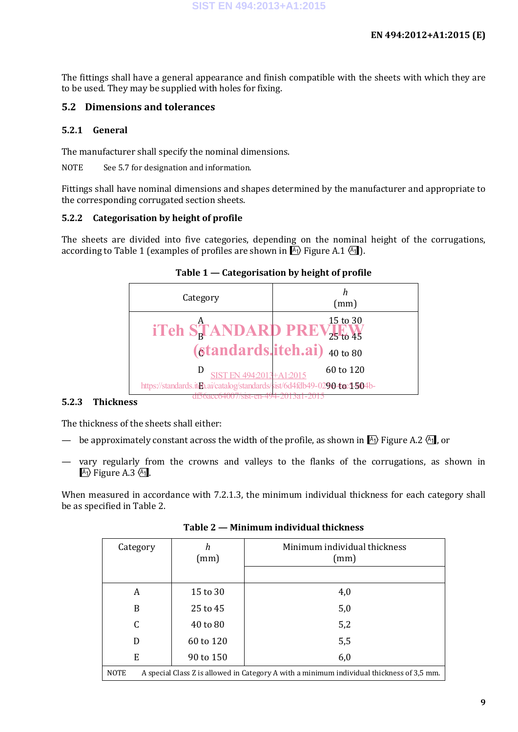The fittings shall have a general appearance and finish compatible with the sheets with which they are to be used. They may be supplied with holes for fixing.

### **5.2 Dimensions and tolerances**

#### **5.2.1 General**

The manufacturer shall specify the nominal dimensions.

NOTE See 5.7 for designation and information.

Fittings shall have nominal dimensions and shapes determined by the manufacturer and appropriate to the corresponding corrugated section sheets.

### **5.2.2 Categorisation by height of profile**

The sheets are divided into five categories, depending on the nominal height of the corrugations, according to Table 1 (examples of profiles are shown in  $A_1$ ) Figure A.1  $A_1$ ).



# **Table 1 — Categorisation by height of profile**

#### **5.2.3 Thickness**

The thickness of the sheets shall either:

- be approximately constant across the width of the profile, as shown in  $\mathbb{A}_1$  Figure A.2  $\mathbb{A}_1$ , or
- vary regularly from the crowns and valleys to the flanks of the corrugations, as shown in  $\overline{A_1}$  Figure A.3  $\overline{A_1}$ .

When measured in accordance with 7.2.1.3, the minimum individual thickness for each category shall be as specified in Table 2.

| Category                                                                                                 | h<br>(mm) | Minimum individual thickness<br>(mm) |  |  |  |
|----------------------------------------------------------------------------------------------------------|-----------|--------------------------------------|--|--|--|
| A                                                                                                        | 15 to 30  | 4,0                                  |  |  |  |
| B                                                                                                        | 25 to 45  | 5,0                                  |  |  |  |
| C                                                                                                        | 40 to 80  | 5,2                                  |  |  |  |
| D                                                                                                        | 60 to 120 | 5,5                                  |  |  |  |
| E                                                                                                        | 90 to 150 | 6,0                                  |  |  |  |
| <b>NOTE</b><br>A special Class Z is allowed in Category A with a minimum individual thickness of 3,5 mm. |           |                                      |  |  |  |

**Table 2 — Minimum individual thickness**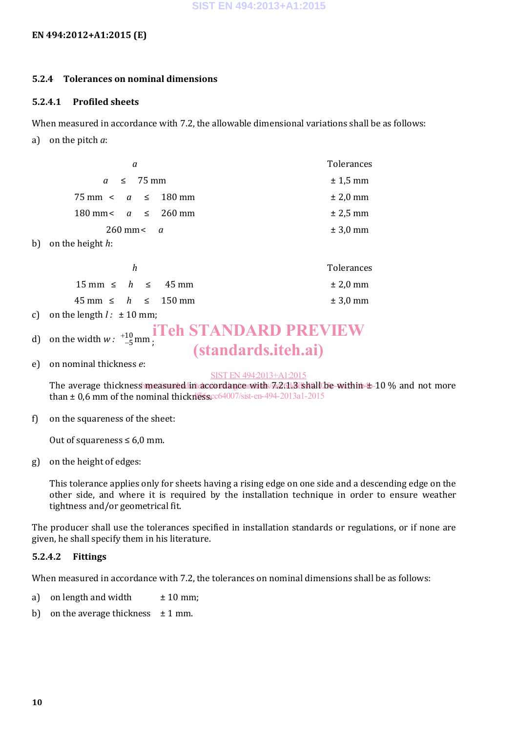#### **EN 494:2012+A1:2015 (E)**

#### **5.2.4 Tolerances on nominal dimensions**

#### **5.2.4.1 Profiled sheets**

When measured in accordance with 7.2, the allowable dimensional variations shall be as follows:

a) on the pitch *a*:

| a                                         | Tolerances   |
|-------------------------------------------|--------------|
| $a \leq 75 \,\mathrm{mm}$                 | $± 1,5$ mm   |
| $75 \text{ mm} < a \leq 180 \text{ mm}$   | $\pm 2.0$ mm |
| 180 mm < $a \le 260$ mm                   | $± 2,5$ mm   |
| $260$ mm $\lt q$                          | $± 3,0$ mm   |
| b) on the height $h$ :                    |              |
| h                                         | Tolerances   |
| $15 \text{ mm} \leq h \leq 45 \text{ mm}$ | $± 2.0$ mm   |

| $15 \text{ mm} \leq h \leq 45 \text{ mm}$  |  | $\pm 2.0$ mm |
|--------------------------------------------|--|--------------|
| $45 \text{ mm} \leq h \leq 150 \text{ mm}$ |  | $\pm 3.0$ mm |
| $-1$ $-1$ $-1$ $-1$                        |  |              |

- c) on the length  $l: \pm 10$  mm;
- d) on the width  $w: \begin{bmatrix} +10 \\ -5 \end{bmatrix}$ mm ;

# iTeh STANDARD PREVIEW (standards.iteh.ai)

e) on nominal thickness *e*:

#### SIST EN 494:2013+A1:2015

The average thickness measured in accordance with 7s2613 shall be within  $\pm$  10 % and not more than  $\pm$  0,6 mm of the nominal thickness.  $cc64007/sist-$ en-494-2013a1-2015

### f) on the squareness of the sheet:

Out of squareness  $\leq 6.0$  mm.

g) on the height of edges:

This tolerance applies only for sheets having a rising edge on one side and a descending edge on the other side, and where it is required by the installation technique in order to ensure weather tightness and/or geometrical fit.

The producer shall use the tolerances specified in installation standards or regulations, or if none are given, he shall specify them in his literature.

### **5.2.4.2 Fittings**

When measured in accordance with 7.2, the tolerances on nominal dimensions shall be as follows:

- a) on length and width  $\pm 10$  mm;
- b) on the average thickness  $\pm 1$  mm.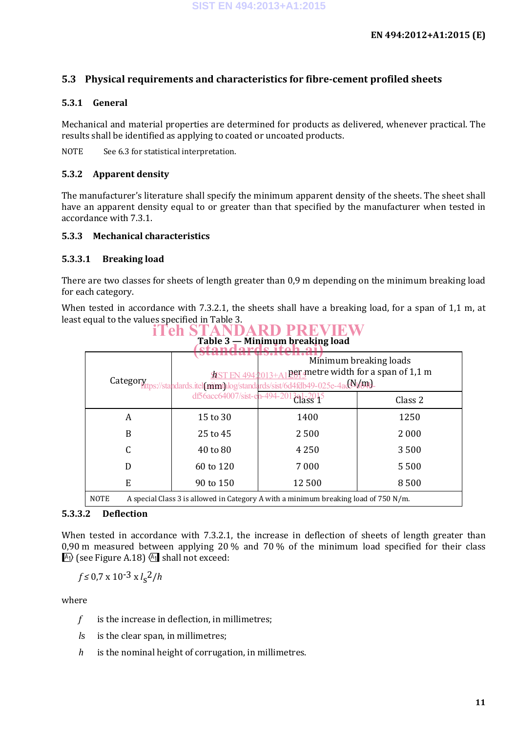## **5.3 Physical requirements and characteristics for fibre-cement profiled sheets**

#### **5.3.1 General**

Mechanical and material properties are determined for products as delivered, whenever practical. The results shall be identified as applying to coated or uncoated products.

NOTE See 6.3 for statistical interpretation.

#### **5.3.2 Apparent density**

The manufacturer's literature shall specify the minimum apparent density of the sheets. The sheet shall have an apparent density equal to or greater than that specified by the manufacturer when tested in accordance with 7.3.1.

#### **5.3.3 Mechanical characteristics**

#### **5.3.3.1 Breaking load**

There are two classes for sheets of length greater than 0,9 m depending on the minimum breaking load for each category.

When tested in accordance with 7.3.2.1, the sheets shall have a breaking load, for a span of 1,1 m, at least equal to the values specified in Table 3. iTeh STANDARD PREVIEW

| Table 3 — Minimum breaking load |                                                                                                                                                                               |                                                                                                      |         |  |  |  |  |
|---------------------------------|-------------------------------------------------------------------------------------------------------------------------------------------------------------------------------|------------------------------------------------------------------------------------------------------|---------|--|--|--|--|
|                                 | Minimum breaking loads<br>per metre width for a span of 1,1 m<br><b>SIST EN 494:201</b><br>Category<br>Ittps://standards.itel(mimthlog/standards/sist/6d4fdb49-025e-4ad9V/md- |                                                                                                      |         |  |  |  |  |
|                                 | df56acc64007/sist-en-494-2013a1-2015                                                                                                                                          |                                                                                                      | Class 2 |  |  |  |  |
| A                               | 15 to 30                                                                                                                                                                      | 1400                                                                                                 | 1250    |  |  |  |  |
| B                               | 25 to 45                                                                                                                                                                      | 2500                                                                                                 | 2000    |  |  |  |  |
|                                 | 40 to 80                                                                                                                                                                      | 4 2 5 0                                                                                              | 3500    |  |  |  |  |
| D                               | 60 to 120                                                                                                                                                                     | 7000                                                                                                 | 5500    |  |  |  |  |
| E                               | 90 to 150                                                                                                                                                                     | 12500                                                                                                | 8500    |  |  |  |  |
| MOTE                            |                                                                                                                                                                               | $\Lambda$ and old Class 2 is allowed in Catagory, $\Lambda$ with a minimum breaking lead of 750 M /m |         |  |  |  |  |

NOTE A special Class 3 is allowed in Category A with a minimum breaking load of 750 N/m.

#### **5.3.3.2 Deflection**

When tested in accordance with 7.3.2.1, the increase in deflection of sheets of length greater than 0,90 m measured between applying 20 % and 70 % of the minimum load specified for their class  $\mathbb{A}_1$  (see Figure A.18)  $\mathbb{A}_1$  shall not exceed:

$$
f \leq 0.7 \times 10^{-3} \times l_s^2/h
$$

where

- *f* is the increase in deflection, in millimetres;
- *l*s is the clear span, in millimetres;
- *h* is the nominal height of corrugation, in millimetres.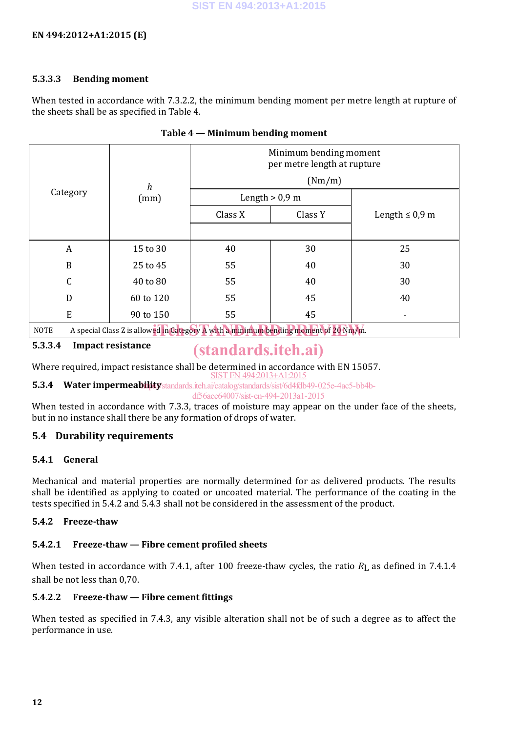#### **5.3.3.3 Bending moment**

When tested in accordance with 7.3.2.2, the minimum bending moment per metre length at rupture of the sheets shall be as specified in Table 4.

|                                                                                                     |           | Minimum bending moment<br>per metre length at rupture |         |                     |  |  |
|-----------------------------------------------------------------------------------------------------|-----------|-------------------------------------------------------|---------|---------------------|--|--|
|                                                                                                     | h<br>(mm) | (Nm/m)                                                |         |                     |  |  |
| Category                                                                                            |           | Length $> 0.9$ m                                      |         |                     |  |  |
|                                                                                                     |           | Class X                                               | Class Y | Length $\leq 0.9$ m |  |  |
|                                                                                                     |           |                                                       |         |                     |  |  |
| A                                                                                                   | 15 to 30  | 40                                                    | 30      | 25                  |  |  |
| B                                                                                                   | 25 to 45  | 55                                                    | 40      | 30                  |  |  |
| C                                                                                                   | 40 to 80  | 55                                                    | 40      | 30                  |  |  |
| D                                                                                                   | 60 to 120 | 55                                                    | 45      | 40                  |  |  |
| ${\bf E}$                                                                                           | 90 to 150 | 55                                                    | 45      |                     |  |  |
| A special Class Z is allowed in Category A with a minimum bending moment of 20 Nm/m.<br><b>NOTE</b> |           |                                                       |         |                     |  |  |

#### **Table 4 — Minimum bending moment**

**5.3.3.4 Impact resistance**

# (standards.iteh.ai)

Where required, impact resistance shall be determined in accordance with EN 15057. SIST EN 494:2013+A1:2015

**5.3.4 Water impermeability**/standards.iteh.ai/catalog/standards/sist/6d4fdb49-025e-4ac5-bb4b-

df56acc64007/sist-en-494-2013a1-2015

When tested in accordance with 7.3.3, traces of moisture may appear on the under face of the sheets, but in no instance shall there be any formation of drops of water.

# **5.4 Durability requirements**

## **5.4.1 General**

Mechanical and material properties are normally determined for as delivered products. The results shall be identified as applying to coated or uncoated material. The performance of the coating in the tests specified in 5.4.2 and 5.4.3 shall not be considered in the assessment of the product.

### **5.4.2 Freeze-thaw**

# **5.4.2.1 Freeze-thaw — Fibre cement profiled sheets**

When tested in accordance with 7.4.1, after 100 freeze-thaw cycles, the ratio  $R<sub>L</sub>$  as defined in 7.4.1.4 shall be not less than 0,70.

# **5.4.2.2 Freeze-thaw — Fibre cement fittings**

When tested as specified in 7.4.3, any visible alteration shall not be of such a degree as to affect the performance in use.